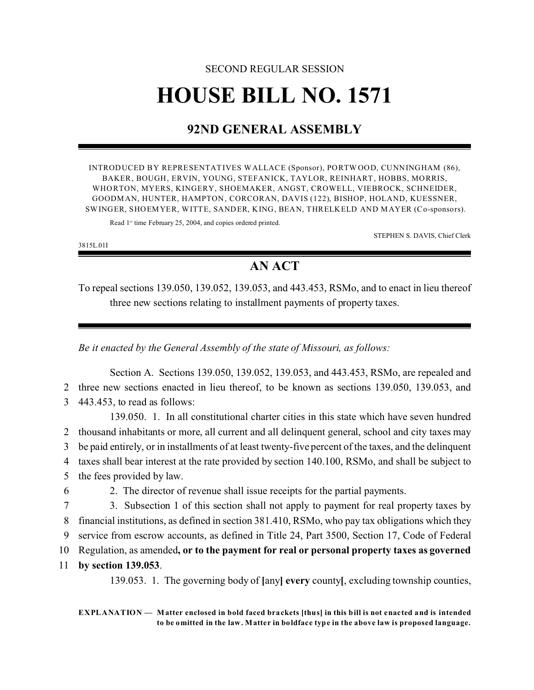# SECOND REGULAR SESSION **HOUSE BILL NO. 1571**

## **92ND GENERAL ASSEMBLY**

INTRODUCED BY REPRESENTATIVES WALLACE (Sponsor), PORTW OOD, CUNNINGHAM (86), BAKER, BOUGH, ERVIN, YOUNG, STEFANICK, TAYLOR, REINHART, HOBBS, MORRIS, WHORTON, MYERS, KINGERY, SHOEMAKER, ANGST, CROWELL, VIEBROCK, SCHNEIDER, GOODMAN, HUNTER, HAMPTON, CORCORAN, DAVIS (122), BISHOP, HOLAND, KUESSNER, SWINGER, SHOEMYER, WITTE, SANDER, KING, BEAN, THRELKELD AND MAYER (Co-sponsors).

Read 1<sup>st</sup> time February 25, 2004, and copies ordered printed.

STEPHEN S. DAVIS, Chief Clerk

3815L.01I

### **AN ACT**

To repeal sections 139.050, 139.052, 139.053, and 443.453, RSMo, and to enact in lieu thereof three new sections relating to installment payments of property taxes.

*Be it enacted by the General Assembly of the state of Missouri, as follows:*

Section A. Sections 139.050, 139.052, 139.053, and 443.453, RSMo, are repealed and 2 three new sections enacted in lieu thereof, to be known as sections 139.050, 139.053, and 3 443.453, to read as follows:

139.050. 1. In all constitutional charter cities in this state which have seven hundred thousand inhabitants or more, all current and all delinquent general, school and city taxes may be paid entirely, or in installments of at least twenty-five percent of the taxes, and the delinquent taxes shall bear interest at the rate provided by section 140.100, RSMo, and shall be subject to the fees provided by law.

- 
- 6 2. The director of revenue shall issue receipts for the partial payments.

 3. Subsection 1 of this section shall not apply to payment for real property taxes by financial institutions, as defined in section 381.410, RSMo, who pay tax obligations which they service from escrow accounts, as defined in Title 24, Part 3500, Section 17, Code of Federal Regulation, as amended**, or to the payment for real or personal property taxes as governed**

11 **by section 139.053**.

139.053. 1. The governing body of **[**any**] every** county**[**, excluding township counties,

**EXPLANATION — Matter enclosed in bold faced brackets [thus] in this bill is not enacted and is intended to be omitted in the law. Matter in boldface type in the above law is proposed language.**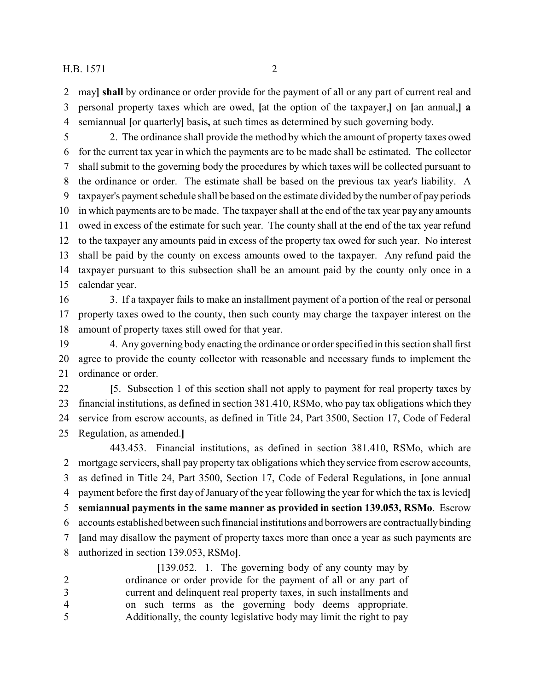#### H.B. 1571 2

 may**] shall** by ordinance or order provide for the payment of all or any part of current real and personal property taxes which are owed, **[**at the option of the taxpayer,**]** on **[**an annual,**] a** semiannual **[**or quarterly**]** basis**,** at such times as determined by such governing body.

 2. The ordinance shall provide the method by which the amount of property taxes owed for the current tax year in which the payments are to be made shall be estimated. The collector shall submit to the governing body the procedures by which taxes will be collected pursuant to the ordinance or order. The estimate shall be based on the previous tax year's liability. A taxpayer's payment schedule shall be based on the estimate divided by the number of pay periods in which payments are to be made. The taxpayer shall at the end of the tax year pay any amounts owed in excess of the estimate for such year. The county shall at the end of the tax year refund to the taxpayer any amounts paid in excess of the property tax owed for such year. No interest shall be paid by the county on excess amounts owed to the taxpayer. Any refund paid the taxpayer pursuant to this subsection shall be an amount paid by the county only once in a calendar year.

 3. If a taxpayer fails to make an installment payment of a portion of the real or personal property taxes owed to the county, then such county may charge the taxpayer interest on the amount of property taxes still owed for that year.

 4. Any governing body enacting the ordinance or order specified in this section shall first agree to provide the county collector with reasonable and necessary funds to implement the ordinance or order.

 **[**5. Subsection 1 of this section shall not apply to payment for real property taxes by financial institutions, as defined in section 381.410, RSMo, who pay tax obligations which they service from escrow accounts, as defined in Title 24, Part 3500, Section 17, Code of Federal Regulation, as amended.**]**

443.453. Financial institutions, as defined in section 381.410, RSMo, which are mortgage servicers, shall pay property tax obligations which they service from escrow accounts, as defined in Title 24, Part 3500, Section 17, Code of Federal Regulations, in **[**one annual payment before the first day of January of the year following the year for which the tax is levied**] semiannual payments in the same manner as provided in section 139.053, RSMo**. Escrow accounts established between such financial institutions and borrowers are contractually binding **[**and may disallow the payment of property taxes more than once a year as such payments are authorized in section 139.053, RSMo**]**.

**[**139.052. 1. The governing body of any county may by ordinance or order provide for the payment of all or any part of current and delinquent real property taxes, in such installments and on such terms as the governing body deems appropriate. Additionally, the county legislative body may limit the right to pay